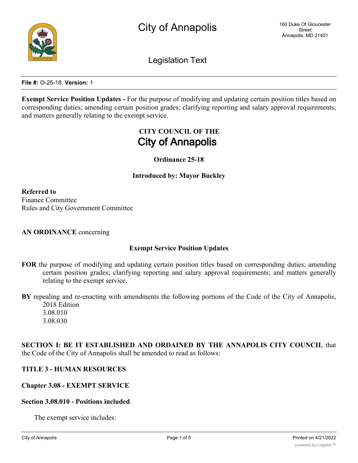

Legislation Text

**File #:** O-25-18, **Version:** 1

**Exempt Service Position Updates -** For the purpose of modifying and updating certain position titles based on corresponding duties; amending certain position grades; clarifying reporting and salary approval requirements; and matters generally relating to the exempt service.

# **CITY COUNCIL OF THE City of Annapolis**

**Ordinance 25-18**

**Introduced by: Mayor Buckley**

**Referred to** Finance Committee Rules and City Government Committee

**AN ORDINANCE** concerning

### **Exempt Service Position Updates**

- **FOR** the purpose of modifying and updating certain position titles based on corresponding duties; amending certain position grades; clarifying reporting and salary approval requirements; and matters generally relating to the exempt service.
- **BY** repealing and re-enacting with amendments the following portions of the Code of the City of Annapolis, 2018 Edition

3.08.010 3.08.030

**SECTION I: BE IT ESTABLISHED AND ORDAINED BY THE ANNAPOLIS CITY COUNCIL** that the Code of the City of Annapolis shall be amended to read as follows:

# **TITLE 3 - HUMAN RESOURCES**

### **Chapter 3.08 - EXEMPT SERVICE**

### **Section 3.08.010 - Positions included**.

The exempt service includes: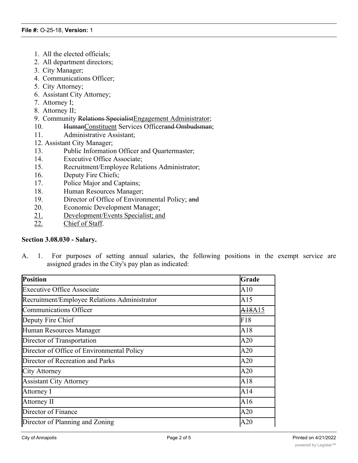- 1. All the elected officials;
- 2. All department directors;
- 3. City Manager;
- 4. Communications Officer;
- 5. City Attorney;
- 6. Assistant City Attorney;
- 7. Attorney I;
- 8. Attorney II;
- 9. Community Relations SpecialistEngagement Administrator;
- 10. HumanConstituent Services Officerand Ombudsman;
- 11. Administrative Assistant;
- 12. Assistant City Manager;
- 13. Public Information Officer and Quartermaster;
- 14. Executive Office Associate;
- 15. Recruitment/Employee Relations Administrator;
- 16. Deputy Fire Chiefs;
- 17. Police Major and Captains;
- 18. Human Resources Manager;
- 19. Director of Office of Environmental Policy; and
- 20. Economic Development Manager;
- 21. Development/Events Specialist; and
- 22. Chief of Staff.

### **Section 3.08.030 - Salary.**

A. 1. For purposes of setting annual salaries, the following positions in the exempt service are assigned grades in the City's pay plan as indicated:

| <b>Position</b>                              | Grade              |
|----------------------------------------------|--------------------|
| <b>Executive Office Associate</b>            | A10                |
| Recruitment/Employee Relations Administrator | A15                |
| Communications Officer                       | <del>A18</del> A15 |
| Deputy Fire Chief                            | F18                |
| Human Resources Manager                      | A18                |
| Director of Transportation                   | A20                |
| Director of Office of Environmental Policy   | A20                |
| Director of Recreation and Parks             | A20                |
| City Attorney                                | A20                |
| <b>Assistant City Attorney</b>               | A18                |
| Attorney I                                   | A14                |
| Attorney II                                  | A16                |
| Director of Finance                          | A20                |
| Director of Planning and Zoning              | A20                |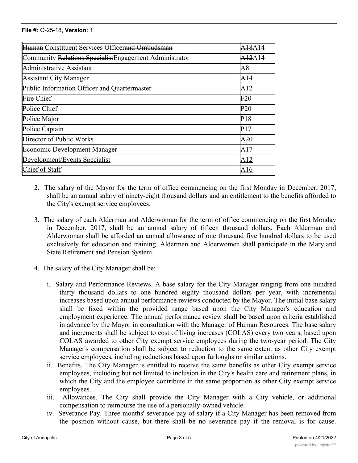| Human Constituent Services Officerand Ombudsman        | A18A14          |
|--------------------------------------------------------|-----------------|
| Community Relations SpecialistEngagement Administrator | A12A14          |
| Administrative Assistant                               | A8              |
| <b>Assistant City Manager</b>                          | A14             |
| Public Information Officer and Quartermaster           | A12             |
| Fire Chief                                             | F20             |
| Police Chief                                           | P <sub>20</sub> |
| Police Major                                           | P18             |
| Police Captain                                         | P17             |
| Director of Public Works                               | A20             |
| <b>Economic Development Manager</b>                    | A17             |
| Development/Events Specialist                          | A12             |
| Chief of Staff                                         | A16             |

director of Planning and Zoning A200 and Zoning A200 and Zoning A200 and Zoning A200 and Zoning A200 and Zonin<br>The Coning A200 and Zoning A200 and Zoning A200 and Zoning A200 and Zoning A200 and Zoning A200 and Zoning A20

- 2. The salary of the Mayor for the term of office commencing on the first Monday in December, 2017, shall be an annual salary of ninety-eight thousand dollars and an entitlement to the benefits afforded to the City's exempt service employees.
- 3. The salary of each Alderman and Alderwoman for the term of office commencing on the first Monday in December, 2017, shall be an annual salary of fifteen thousand dollars. Each Alderman and Alderwoman shall be afforded an annual allowance of one thousand five hundred dollars to be used exclusively for education and training. Aldermen and Alderwomen shall participate in the Maryland State Retirement and Pension System.
- 4. The salary of the City Manager shall be:
	- i. Salary and Performance Reviews. A base salary for the City Manager ranging from one hundred thirty thousand dollars to one hundred eighty thousand dollars per year, with incremental increases based upon annual performance reviews conducted by the Mayor. The initial base salary shall be fixed within the provided range based upon the City Manager's education and employment experience. The annual performance review shall be based upon criteria established in advance by the Mayor in consultation with the Manager of Human Resources. The base salary and increments shall be subject to cost of living increases (COLAS) every two years, based upon COLAS awarded to other City exempt service employees during the two-year period. The City Manager's compensation shall be subject to reduction to the same extent as other City exempt service employees, including reductions based upon furloughs or similar actions.
	- ii. Benefits. The City Manager is entitled to receive the same benefits as other City exempt service employees, including but not limited to inclusion in the City's health care and retirement plans, in which the City and the employee contribute in the same proportion as other City exempt service employees.
	- iii. Allowances. The City shall provide the City Manager with a City vehicle, or additional compensation to reimburse the use of a personally-owned vehicle.
	- iv. Severance Pay. Three months' severance pay of salary if a City Manager has been removed from the position without cause, but there shall be no severance pay if the removal is for cause.

 $G$ rounds for removal that constitute cause shall be 1) conviction of a felony or a felony or a felony or a felony or a felony or a felony or a felony or a felony or a felony or a felony or a felony of moral  $\alpha$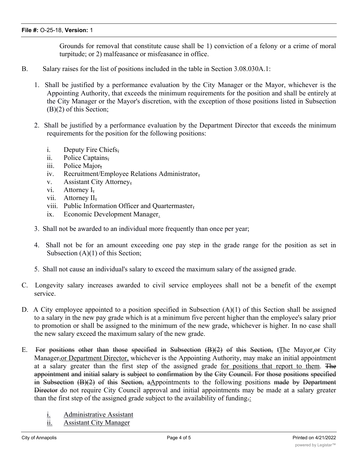Grounds for removal that constitute cause shall be 1) conviction of a felony or a crime of moral turpitude; or 2) malfeasance or misfeasance in office.

- B. Salary raises for the list of positions included in the table in Section 3.08.030A.1:
	- 1. Shall be justified by a performance evaluation by the City Manager or the Mayor, whichever is the Appointing Authority, that exceeds the minimum requirements for the position and shall be entirely at the City Manager or the Mayor's discretion, with the exception of those positions listed in Subsection (B)(2) of this Section;
	- 2. Shall be justified by a performance evaluation by the Department Director that exceeds the minimum requirements for the position for the following positions:
		- i. Deputy Fire Chiefs,
		- ii. Police Captains,
		- iii. Police Major,
		- iv. Recruitment/Employee Relations Administrator,
		- v. Assistant City Attorney,
		- vi. Attorney I<sub>7</sub>
		- vii. Attorney II,
		- viii. Public Information Officer and Quartermaster,
		- ix. Economic Development Manager.
	- 3. Shall not be awarded to an individual more frequently than once per year;
	- 4. Shall not be for an amount exceeding one pay step in the grade range for the position as set in Subsection (A)(1) of this Section;
	- 5. Shall not cause an individual's salary to exceed the maximum salary of the assigned grade.
- C. Longevity salary increases awarded to civil service employees shall not be a benefit of the exempt service.
- D. A City employee appointed to a position specified in Subsection (A)(1) of this Section shall be assigned to a salary in the new pay grade which is at a minimum five percent higher than the employee's salary prior to promotion or shall be assigned to the minimum of the new grade, whichever is higher. In no case shall the new salary exceed the maximum salary of the new grade.
- E. For positions other than those specified in Subsection  $(B)(2)$  of this Section, tThe Mayor, or City Manager,or Department Director, whichever is the Appointing Authority, may make an initial appointment at a salary greater than the first step of the assigned grade for positions that report to them. The appointment and initial salary is subject to confirmation by the City Council. For those positions specified in Subsection  $(B)(2)$  of this Section, aAppointments to the following positions made by Department Director do not require City Council approval and initial appointments may be made at a salary greater than the first step of the assigned grade subject to the availability of funding $\frac{1}{2}$ :
	- i. Administrative Assistant
	- ii. Assistant City Manager